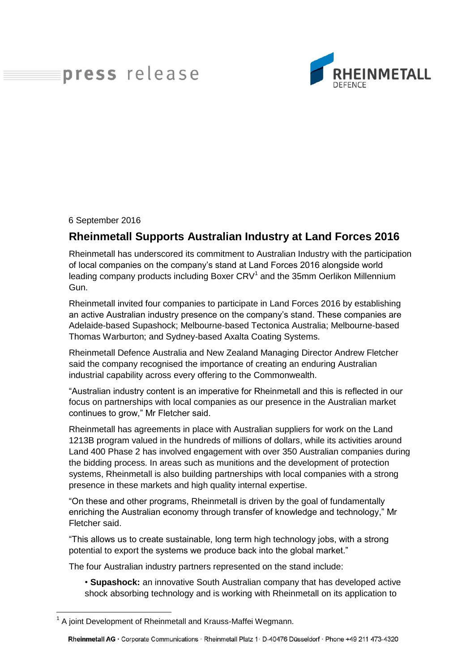## press release



6 September 2016

## **Rheinmetall Supports Australian Industry at Land Forces 2016**

Rheinmetall has underscored its commitment to Australian Industry with the participation of local companies on the company's stand at Land Forces 2016 alongside world leading company products including Boxer  $CRV<sup>1</sup>$  and the 35mm Oerlikon Millennium Gun.

Rheinmetall invited four companies to participate in Land Forces 2016 by establishing an active Australian industry presence on the company's stand. These companies are Adelaide-based Supashock; Melbourne-based Tectonica Australia; Melbourne-based Thomas Warburton; and Sydney-based Axalta Coating Systems.

Rheinmetall Defence Australia and New Zealand Managing Director Andrew Fletcher said the company recognised the importance of creating an enduring Australian industrial capability across every offering to the Commonwealth.

"Australian industry content is an imperative for Rheinmetall and this is reflected in our focus on partnerships with local companies as our presence in the Australian market continues to grow," Mr Fletcher said.

Rheinmetall has agreements in place with Australian suppliers for work on the Land 1213B program valued in the hundreds of millions of dollars, while its activities around Land 400 Phase 2 has involved engagement with over 350 Australian companies during the bidding process. In areas such as munitions and the development of protection systems, Rheinmetall is also building partnerships with local companies with a strong presence in these markets and high quality internal expertise.

"On these and other programs, Rheinmetall is driven by the goal of fundamentally enriching the Australian economy through transfer of knowledge and technology," Mr Fletcher said.

"This allows us to create sustainable, long term high technology jobs, with a strong potential to export the systems we produce back into the global market."

The four Australian industry partners represented on the stand include:

• **Supashock:** an innovative South Australian company that has developed active shock absorbing technology and is working with Rheinmetall on its application to

 $\overline{a}$ <sup>1</sup> A joint Development of Rheinmetall and Krauss-Maffei Wegmann.

Rheinmetall AG · Corporate Communications · Rheinmetall Platz 1 · D-40476 Düsseldorf · Phone +49 211 473-4320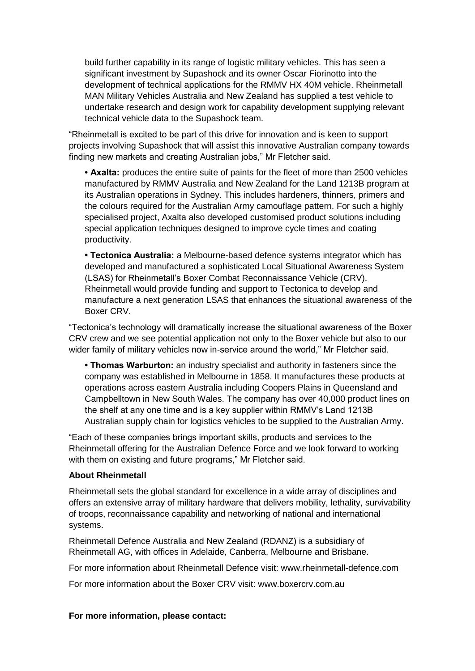build further capability in its range of logistic military vehicles. This has seen a significant investment by Supashock and its owner Oscar Fiorinotto into the development of technical applications for the RMMV HX 40M vehicle. Rheinmetall MAN Military Vehicles Australia and New Zealand has supplied a test vehicle to undertake research and design work for capability development supplying relevant technical vehicle data to the Supashock team.

"Rheinmetall is excited to be part of this drive for innovation and is keen to support projects involving Supashock that will assist this innovative Australian company towards finding new markets and creating Australian jobs," Mr Fletcher said.

**• Axalta:** produces the entire suite of paints for the fleet of more than 2500 vehicles manufactured by RMMV Australia and New Zealand for the Land 1213B program at its Australian operations in Sydney. This includes hardeners, thinners, primers and the colours required for the Australian Army camouflage pattern. For such a highly specialised project, Axalta also developed customised product solutions including special application techniques designed to improve cycle times and coating productivity.

**• Tectonica Australia:** a Melbourne-based defence systems integrator which has developed and manufactured a sophisticated Local Situational Awareness System (LSAS) for Rheinmetall's Boxer Combat Reconnaissance Vehicle (CRV). Rheinmetall would provide funding and support to Tectonica to develop and manufacture a next generation LSAS that enhances the situational awareness of the Boxer CRV.

"Tectonica's technology will dramatically increase the situational awareness of the Boxer CRV crew and we see potential application not only to the Boxer vehicle but also to our wider family of military vehicles now in-service around the world," Mr Fletcher said.

**• Thomas Warburton:** an industry specialist and authority in fasteners since the company was established in Melbourne in 1858. It manufactures these products at operations across eastern Australia including Coopers Plains in Queensland and Campbelltown in New South Wales. The company has over 40,000 product lines on the shelf at any one time and is a key supplier within RMMV's Land 1213B Australian supply chain for logistics vehicles to be supplied to the Australian Army.

"Each of these companies brings important skills, products and services to the Rheinmetall offering for the Australian Defence Force and we look forward to working with them on existing and future programs." Mr Fletcher said.

## **About Rheinmetall**

Rheinmetall sets the global standard for excellence in a wide array of disciplines and offers an extensive array of military hardware that delivers mobility, lethality, survivability of troops, reconnaissance capability and networking of national and international systems.

Rheinmetall Defence Australia and New Zealand (RDANZ) is a subsidiary of Rheinmetall AG, with offices in Adelaide, Canberra, Melbourne and Brisbane.

For more information about Rheinmetall Defence visit: www.rheinmetall-defence.com

For more information about the Boxer CRV visit: www.boxercrv.com.au

## **For more information, please contact:**